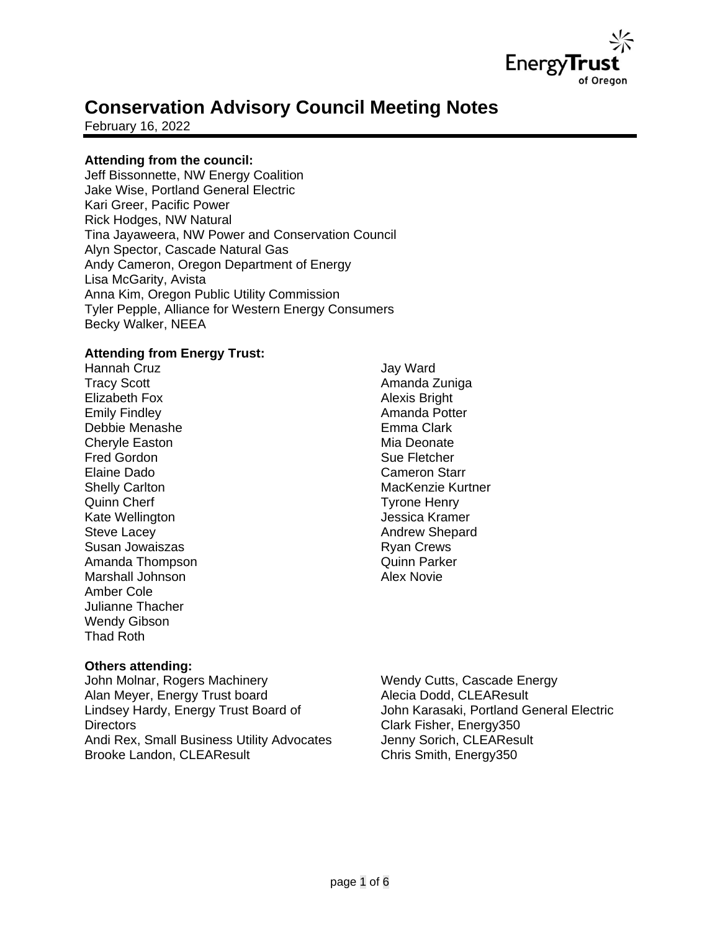

# **Conservation Advisory Council Meeting Notes**

February 16, 2022

# **Attending from the council:**

Jeff Bissonnette, NW Energy Coalition Jake Wise, Portland General Electric Kari Greer, Pacific Power Rick Hodges, NW Natural Tina Jayaweera, NW Power and Conservation Council Alyn Spector, Cascade Natural Gas Andy Cameron, Oregon Department of Energy Lisa McGarity, Avista Anna Kim, Oregon Public Utility Commission Tyler Pepple, Alliance for Western Energy Consumers Becky Walker, NEEA

## **Attending from Energy Trust:**

Hannah Cruz Tracy Scott Elizabeth Fox Emily Findley Debbie Menashe Cheryle Easton Fred Gordon Elaine Dado Shelly Carlton Quinn Cherf Kate Wellington Steve Lacey Susan Jowaiszas Amanda Thompson Marshall Johnson Amber Cole Julianne Thacher Wendy Gibson Thad Roth

#### Jay Ward Amanda Zuniga Alexis Bright Amanda Potter Emma Clark Mia Deonate Sue Fletcher Cameron Starr MacKenzie Kurtner Tyrone Henry Jessica Kramer Andrew Shepard Ryan Crews Quinn Parker Alex Novie

#### **Others attending:**

John Molnar, Rogers Machinery Alan Meyer, Energy Trust board Lindsey Hardy, Energy Trust Board of **Directors** Andi Rex, Small Business Utility Advocates Brooke Landon, CLEAResult

Wendy Cutts, Cascade Energy Alecia Dodd, CLEAResult John Karasaki, Portland General Electric Clark Fisher, Energy350 Jenny Sorich, CLEAResult Chris Smith, Energy350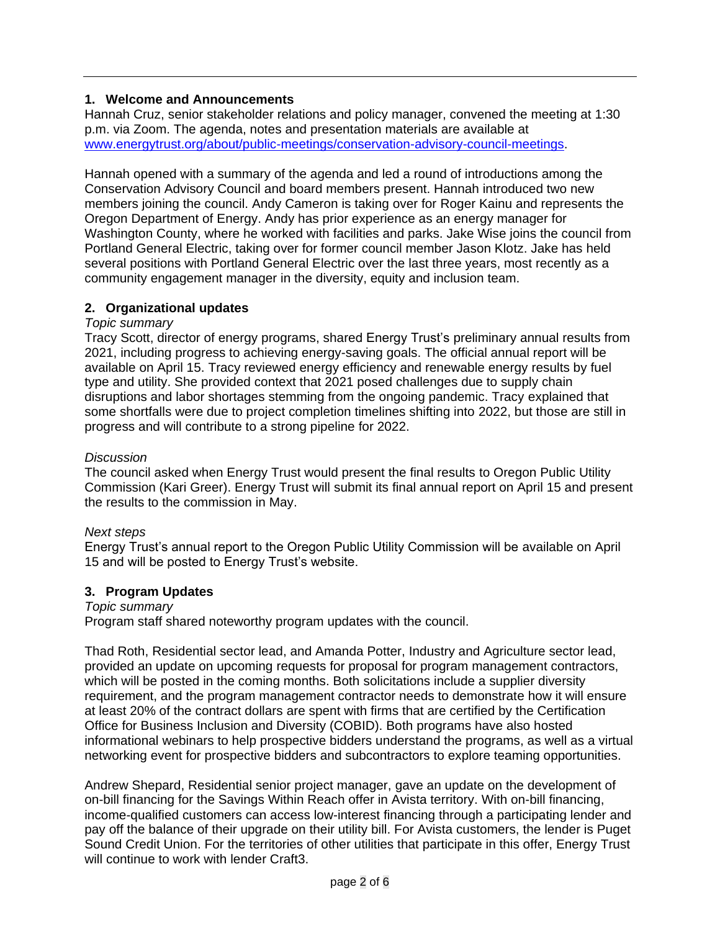# **1. Welcome and Announcements**

Hannah Cruz, senior stakeholder relations and policy manager, convened the meeting at 1:30 p.m. via Zoom. The agenda, notes and presentation materials are available at [www.energytrust.org/about/public-meetings/conservation-advisory-council-meetings.](http://www.energytrust.org/about/public-meetings/conservation-advisory-council-meetings)

Hannah opened with a summary of the agenda and led a round of introductions among the Conservation Advisory Council and board members present. Hannah introduced two new members joining the council. Andy Cameron is taking over for Roger Kainu and represents the Oregon Department of Energy. Andy has prior experience as an energy manager for Washington County, where he worked with facilities and parks. Jake Wise joins the council from Portland General Electric, taking over for former council member Jason Klotz. Jake has held several positions with Portland General Electric over the last three years, most recently as a community engagement manager in the diversity, equity and inclusion team.

# **2. Organizational updates**

# *Topic summary*

Tracy Scott, director of energy programs, shared Energy Trust's preliminary annual results from 2021, including progress to achieving energy-saving goals. The official annual report will be available on April 15. Tracy reviewed energy efficiency and renewable energy results by fuel type and utility. She provided context that 2021 posed challenges due to supply chain disruptions and labor shortages stemming from the ongoing pandemic. Tracy explained that some shortfalls were due to project completion timelines shifting into 2022, but those are still in progress and will contribute to a strong pipeline for 2022.

# *Discussion*

The council asked when Energy Trust would present the final results to Oregon Public Utility Commission (Kari Greer). Energy Trust will submit its final annual report on April 15 and present the results to the commission in May.

# *Next steps*

Energy Trust's annual report to the Oregon Public Utility Commission will be available on April 15 and will be posted to Energy Trust's website.

# **3. Program Updates**

# *Topic summary*

Program staff shared noteworthy program updates with the council.

Thad Roth, Residential sector lead, and Amanda Potter, Industry and Agriculture sector lead, provided an update on upcoming requests for proposal for program management contractors, which will be posted in the coming months. Both solicitations include a supplier diversity requirement, and the program management contractor needs to demonstrate how it will ensure at least 20% of the contract dollars are spent with firms that are certified by the Certification Office for Business Inclusion and Diversity (COBID). Both programs have also hosted informational webinars to help prospective bidders understand the programs, as well as a virtual networking event for prospective bidders and subcontractors to explore teaming opportunities.

Andrew Shepard, Residential senior project manager, gave an update on the development of on-bill financing for the Savings Within Reach offer in Avista territory. With on-bill financing, income-qualified customers can access low-interest financing through a participating lender and pay off the balance of their upgrade on their utility bill. For Avista customers, the lender is Puget Sound Credit Union. For the territories of other utilities that participate in this offer, Energy Trust will continue to work with lender Craft3.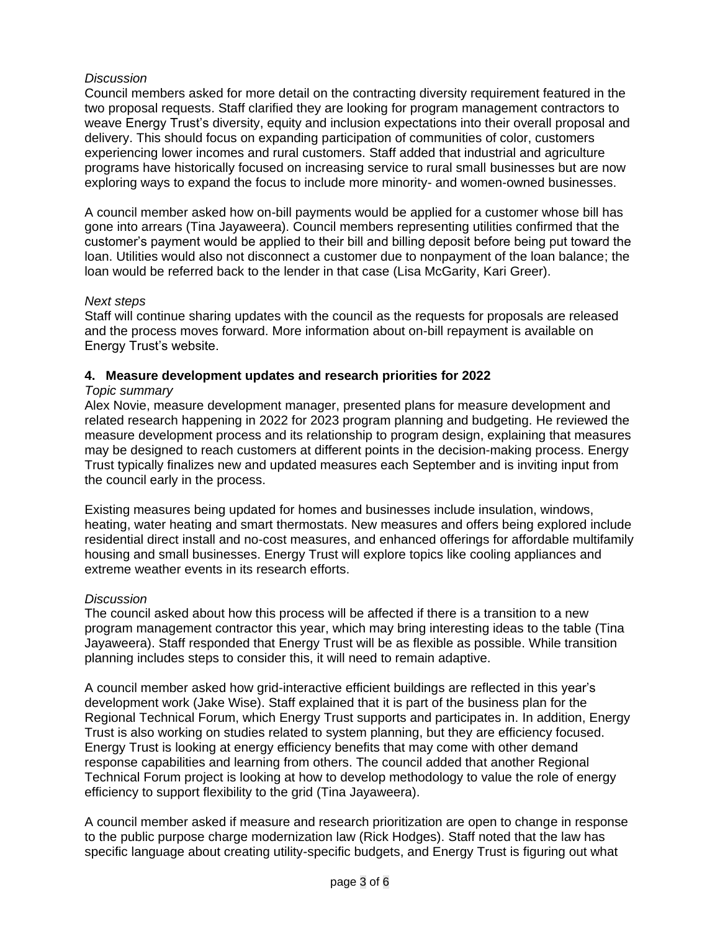# *Discussion*

Council members asked for more detail on the contracting diversity requirement featured in the two proposal requests. Staff clarified they are looking for program management contractors to weave Energy Trust's diversity, equity and inclusion expectations into their overall proposal and delivery. This should focus on expanding participation of communities of color, customers experiencing lower incomes and rural customers. Staff added that industrial and agriculture programs have historically focused on increasing service to rural small businesses but are now exploring ways to expand the focus to include more minority- and women-owned businesses.

A council member asked how on-bill payments would be applied for a customer whose bill has gone into arrears (Tina Jayaweera). Council members representing utilities confirmed that the customer's payment would be applied to their bill and billing deposit before being put toward the loan. Utilities would also not disconnect a customer due to nonpayment of the loan balance; the loan would be referred back to the lender in that case (Lisa McGarity, Kari Greer).

#### *Next steps*

Staff will continue sharing updates with the council as the requests for proposals are released and the process moves forward. More information about on-bill repayment is available on Energy Trust's website.

## **4. Measure development updates and research priorities for 2022**

## *Topic summary*

Alex Novie, measure development manager, presented plans for measure development and related research happening in 2022 for 2023 program planning and budgeting. He reviewed the measure development process and its relationship to program design, explaining that measures may be designed to reach customers at different points in the decision-making process. Energy Trust typically finalizes new and updated measures each September and is inviting input from the council early in the process.

Existing measures being updated for homes and businesses include insulation, windows, heating, water heating and smart thermostats. New measures and offers being explored include residential direct install and no-cost measures, and enhanced offerings for affordable multifamily housing and small businesses. Energy Trust will explore topics like cooling appliances and extreme weather events in its research efforts.

#### *Discussion*

The council asked about how this process will be affected if there is a transition to a new program management contractor this year, which may bring interesting ideas to the table (Tina Jayaweera). Staff responded that Energy Trust will be as flexible as possible. While transition planning includes steps to consider this, it will need to remain adaptive.

A council member asked how grid-interactive efficient buildings are reflected in this year's development work (Jake Wise). Staff explained that it is part of the business plan for the Regional Technical Forum, which Energy Trust supports and participates in. In addition, Energy Trust is also working on studies related to system planning, but they are efficiency focused. Energy Trust is looking at energy efficiency benefits that may come with other demand response capabilities and learning from others. The council added that another Regional Technical Forum project is looking at how to develop methodology to value the role of energy efficiency to support flexibility to the grid (Tina Jayaweera).

A council member asked if measure and research prioritization are open to change in response to the public purpose charge modernization law (Rick Hodges). Staff noted that the law has specific language about creating utility-specific budgets, and Energy Trust is figuring out what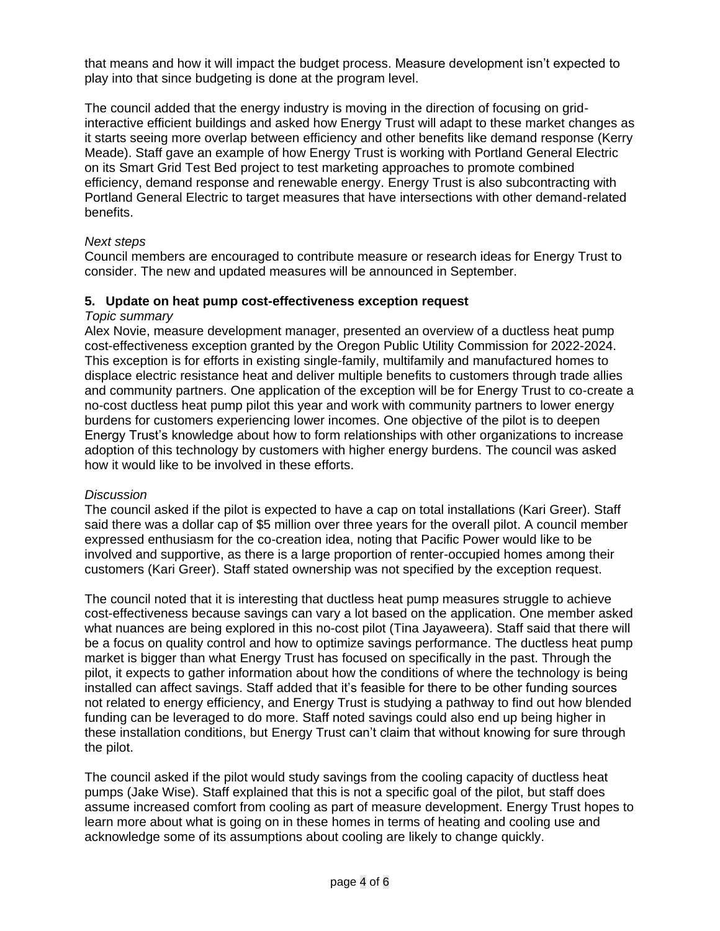that means and how it will impact the budget process. Measure development isn't expected to play into that since budgeting is done at the program level.

The council added that the energy industry is moving in the direction of focusing on gridinteractive efficient buildings and asked how Energy Trust will adapt to these market changes as it starts seeing more overlap between efficiency and other benefits like demand response (Kerry Meade). Staff gave an example of how Energy Trust is working with Portland General Electric on its Smart Grid Test Bed project to test marketing approaches to promote combined efficiency, demand response and renewable energy. Energy Trust is also subcontracting with Portland General Electric to target measures that have intersections with other demand-related benefits.

## *Next steps*

Council members are encouraged to contribute measure or research ideas for Energy Trust to consider. The new and updated measures will be announced in September.

#### **5. Update on heat pump cost-effectiveness exception request**

## *Topic summary*

Alex Novie, measure development manager, presented an overview of a ductless heat pump cost-effectiveness exception granted by the Oregon Public Utility Commission for 2022-2024. This exception is for efforts in existing single-family, multifamily and manufactured homes to displace electric resistance heat and deliver multiple benefits to customers through trade allies and community partners. One application of the exception will be for Energy Trust to co-create a no-cost ductless heat pump pilot this year and work with community partners to lower energy burdens for customers experiencing lower incomes. One objective of the pilot is to deepen Energy Trust's knowledge about how to form relationships with other organizations to increase adoption of this technology by customers with higher energy burdens. The council was asked how it would like to be involved in these efforts.

#### *Discussion*

The council asked if the pilot is expected to have a cap on total installations (Kari Greer). Staff said there was a dollar cap of \$5 million over three years for the overall pilot. A council member expressed enthusiasm for the co-creation idea, noting that Pacific Power would like to be involved and supportive, as there is a large proportion of renter-occupied homes among their customers (Kari Greer). Staff stated ownership was not specified by the exception request.

The council noted that it is interesting that ductless heat pump measures struggle to achieve cost-effectiveness because savings can vary a lot based on the application. One member asked what nuances are being explored in this no-cost pilot (Tina Jayaweera). Staff said that there will be a focus on quality control and how to optimize savings performance. The ductless heat pump market is bigger than what Energy Trust has focused on specifically in the past. Through the pilot, it expects to gather information about how the conditions of where the technology is being installed can affect savings. Staff added that it's feasible for there to be other funding sources not related to energy efficiency, and Energy Trust is studying a pathway to find out how blended funding can be leveraged to do more. Staff noted savings could also end up being higher in these installation conditions, but Energy Trust can't claim that without knowing for sure through the pilot.

The council asked if the pilot would study savings from the cooling capacity of ductless heat pumps (Jake Wise). Staff explained that this is not a specific goal of the pilot, but staff does assume increased comfort from cooling as part of measure development. Energy Trust hopes to learn more about what is going on in these homes in terms of heating and cooling use and acknowledge some of its assumptions about cooling are likely to change quickly.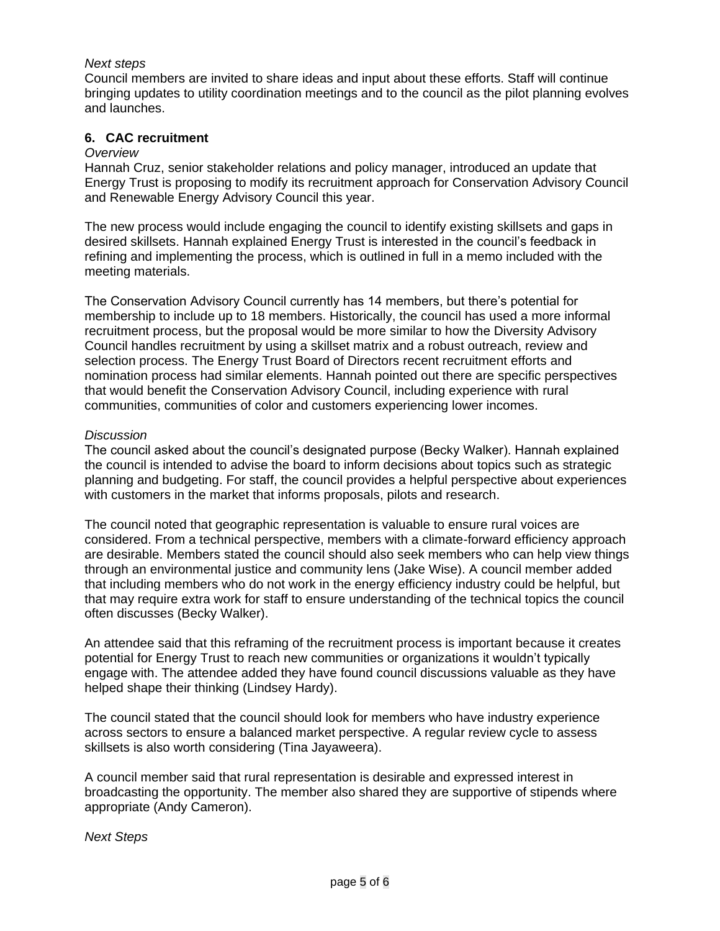## *Next steps*

Council members are invited to share ideas and input about these efforts. Staff will continue bringing updates to utility coordination meetings and to the council as the pilot planning evolves and launches.

## **6. CAC recruitment**

#### *Overview*

Hannah Cruz, senior stakeholder relations and policy manager, introduced an update that Energy Trust is proposing to modify its recruitment approach for Conservation Advisory Council and Renewable Energy Advisory Council this year.

The new process would include engaging the council to identify existing skillsets and gaps in desired skillsets. Hannah explained Energy Trust is interested in the council's feedback in refining and implementing the process, which is outlined in full in a memo included with the meeting materials.

The Conservation Advisory Council currently has 14 members, but there's potential for membership to include up to 18 members. Historically, the council has used a more informal recruitment process, but the proposal would be more similar to how the Diversity Advisory Council handles recruitment by using a skillset matrix and a robust outreach, review and selection process. The Energy Trust Board of Directors recent recruitment efforts and nomination process had similar elements. Hannah pointed out there are specific perspectives that would benefit the Conservation Advisory Council, including experience with rural communities, communities of color and customers experiencing lower incomes.

#### *Discussion*

The council asked about the council's designated purpose (Becky Walker). Hannah explained the council is intended to advise the board to inform decisions about topics such as strategic planning and budgeting. For staff, the council provides a helpful perspective about experiences with customers in the market that informs proposals, pilots and research.

The council noted that geographic representation is valuable to ensure rural voices are considered. From a technical perspective, members with a climate-forward efficiency approach are desirable. Members stated the council should also seek members who can help view things through an environmental justice and community lens (Jake Wise). A council member added that including members who do not work in the energy efficiency industry could be helpful, but that may require extra work for staff to ensure understanding of the technical topics the council often discusses (Becky Walker).

An attendee said that this reframing of the recruitment process is important because it creates potential for Energy Trust to reach new communities or organizations it wouldn't typically engage with. The attendee added they have found council discussions valuable as they have helped shape their thinking (Lindsey Hardy).

The council stated that the council should look for members who have industry experience across sectors to ensure a balanced market perspective. A regular review cycle to assess skillsets is also worth considering (Tina Jayaweera).

A council member said that rural representation is desirable and expressed interest in broadcasting the opportunity. The member also shared they are supportive of stipends where appropriate (Andy Cameron).

*Next Steps*